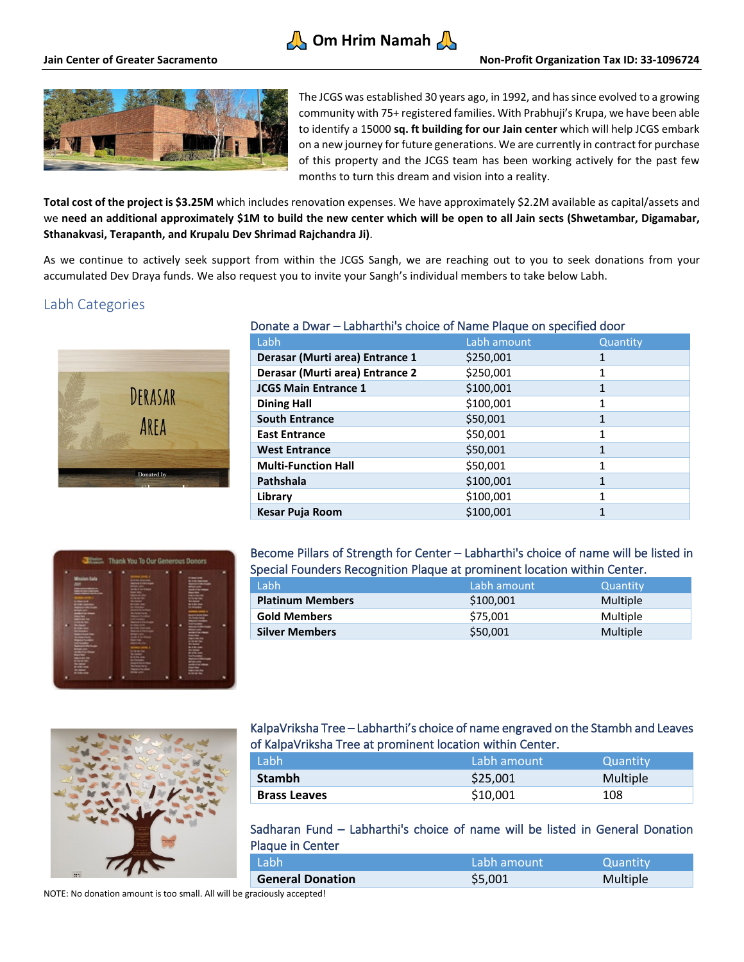# **A** Om Hrim Namah



The JCGS was established 30 years ago, in 1992, and has since evolved to a growing community with 75+ registered families. With Prabhuji's Krupa, we have been able to identify a 15000 **sq. ft building for our Jain center** which will help JCGS embark on a new journey for future generations. We are currently in contract for purchase of this property and the JCGS team has been working actively for the past few months to turn this dream and vision into a reality.

**Total cost of the project is \$3.25M** which includes renovation expenses. We have approximately \$2.2M available as capital/assets and we **need an additional approximately \$1M to build the new center which will be open to all Jain sects (Shwetambar, Digamabar, Sthanakvasi, Terapanth, and Krupalu Dev Shrimad Rajchandra Ji)**.

As we continue to actively seek support from within the JCGS Sangh, we are reaching out to you to seek donations from your accumulated Dev Draya funds. We also request you to invite your Sangh's individual members to take below Labh.

## Labh Categories



# Donate a Dwar – Labharthi's choice of Name Plaque on specified door

| Labh                            | Labh amount | Quantity |
|---------------------------------|-------------|----------|
| Derasar (Murti area) Entrance 1 | \$250,001   |          |
| Derasar (Murti area) Entrance 2 | \$250,001   |          |
| <b>JCGS Main Entrance 1</b>     | \$100,001   | 1        |
| <b>Dining Hall</b>              | \$100,001   | 1        |
| <b>South Entrance</b>           | \$50,001    | 1        |
| <b>East Entrance</b>            | \$50,001    | 1        |
| <b>West Entrance</b>            | \$50,001    | 1        |
| <b>Multi-Function Hall</b>      | \$50,001    | 1        |
| Pathshala                       | \$100,001   | 1        |
| Library                         | \$100,001   | 1        |
| Kesar Puja Room                 | \$100,001   | 1        |



### Become Pillars of Strength for Center – Labharthi's choice of name will be listed in Special Founders Recognition Plaque at prominent location within Center.

| Labh                    |  | Labh amount | Quantity |
|-------------------------|--|-------------|----------|
| <b>Platinum Members</b> |  | \$100,001   | Multiple |
| <b>Gold Members</b>     |  | \$75,001    | Multiple |
| <b>Silver Members</b>   |  | \$50,001    | Multiple |
|                         |  |             |          |



### KalpaVriksha Tree – Labharthi's choice of name engraved on the Stambh and Leaves of KalpaVriksha Tree at prominent location within Center.

| Labh                | Labh amount | Quantity |
|---------------------|-------------|----------|
| <b>Stambh</b>       | \$25,001    | Multiple |
| <b>Brass Leaves</b> | \$10,001    | 108      |

Sadharan Fund – Labharthi's choice of name will be listed in General Donation Plaque in Center

| Labh                    | Labh amount. | Quantity |
|-------------------------|--------------|----------|
| <b>General Donation</b> | \$5,001      | Multiple |
|                         |              |          |

NOTE: No donation amount is too small. All will be graciously accepted!